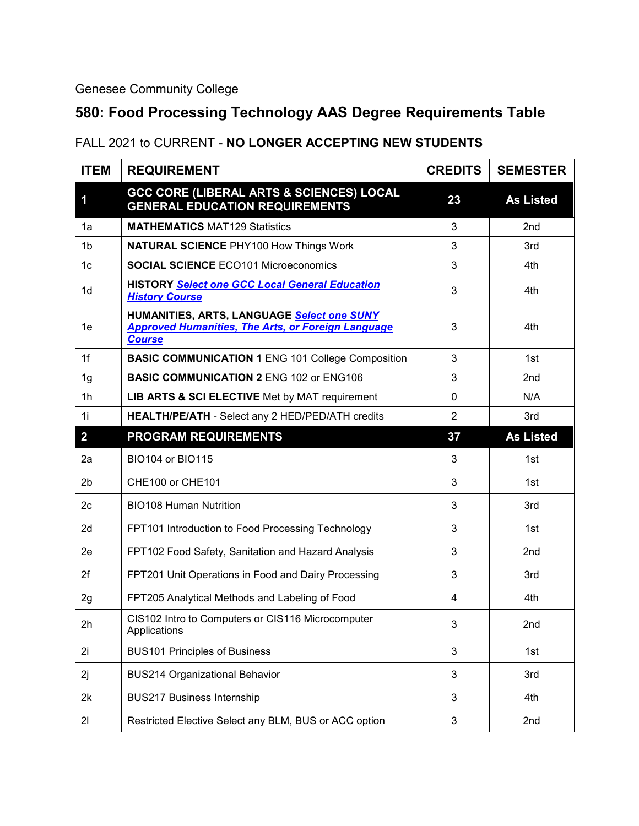## Genesee Community College

## **580: Food Processing Technology AAS Degree Requirements Table**

## FALL 2021 to CURRENT - **NO LONGER ACCEPTING NEW STUDENTS**

| <b>ITEM</b>    | <b>REQUIREMENT</b>                                                                                                       | <b>CREDITS</b> | <b>SEMESTER</b>  |
|----------------|--------------------------------------------------------------------------------------------------------------------------|----------------|------------------|
| 1              | GCC CORE (LIBERAL ARTS & SCIENCES) LOCAL<br><b>GENERAL EDUCATION REQUIREMENTS</b>                                        | 23             | <b>As Listed</b> |
| 1a             | <b>MATHEMATICS MAT129 Statistics</b>                                                                                     | 3              | 2nd              |
| 1 <sub>b</sub> | <b>NATURAL SCIENCE PHY100 How Things Work</b>                                                                            | 3              | 3rd              |
| 1 <sub>c</sub> | <b>SOCIAL SCIENCE ECO101 Microeconomics</b>                                                                              | 3              | 4th              |
| 1d             | <b>HISTORY Select one GCC Local General Education</b><br><b>History Course</b>                                           | 3              | 4th              |
| 1e             | HUMANITIES, ARTS, LANGUAGE Select one SUNY<br><b>Approved Humanities, The Arts, or Foreign Language</b><br><b>Course</b> | 3              | 4th              |
| 1f             | <b>BASIC COMMUNICATION 1 ENG 101 College Composition</b>                                                                 | 3              | 1st              |
| 1 <sub>g</sub> | <b>BASIC COMMUNICATION 2 ENG 102 or ENG106</b>                                                                           | 3              | 2nd              |
| 1h             | LIB ARTS & SCI ELECTIVE Met by MAT requirement                                                                           | 0              | N/A              |
| 1i.            | HEALTH/PE/ATH - Select any 2 HED/PED/ATH credits                                                                         | $\overline{2}$ | 3rd              |
| $\overline{2}$ | <b>PROGRAM REQUIREMENTS</b>                                                                                              | 37             | <b>As Listed</b> |
| 2a             | <b>BIO104 or BIO115</b>                                                                                                  | 3              | 1st              |
| 2 <sub>b</sub> | CHE100 or CHE101                                                                                                         | 3              | 1st              |
| 2 <sub>c</sub> | <b>BIO108 Human Nutrition</b>                                                                                            | 3              | 3rd              |
| 2d             | FPT101 Introduction to Food Processing Technology                                                                        | 3              | 1st              |
| 2e             | FPT102 Food Safety, Sanitation and Hazard Analysis                                                                       | 3              | 2nd              |
| 2f             | FPT201 Unit Operations in Food and Dairy Processing                                                                      | 3              | 3rd              |
| 2g             | FPT205 Analytical Methods and Labeling of Food                                                                           | 4              | 4th              |
| 2h             | CIS102 Intro to Computers or CIS116 Microcomputer<br>Applications                                                        | 3              | 2nd              |
| 2i             | <b>BUS101 Principles of Business</b>                                                                                     | 3              | 1st              |
| 2j             | <b>BUS214 Organizational Behavior</b>                                                                                    | 3              | 3rd              |
| 2k             | <b>BUS217 Business Internship</b>                                                                                        | 3              | 4th              |
| 21             | Restricted Elective Select any BLM, BUS or ACC option                                                                    | 3              | 2nd              |